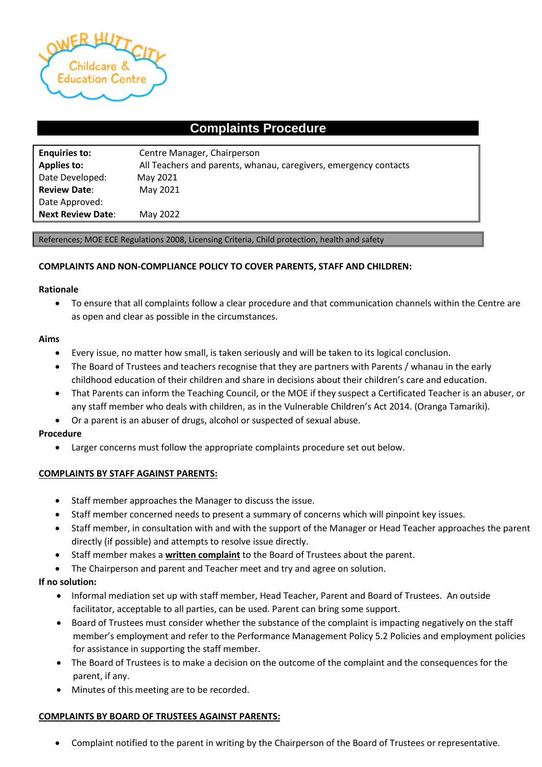

# **Complaints Procedure**

| <b>Enquiries to:</b>     | Centre Manager, Chairperson                                      |
|--------------------------|------------------------------------------------------------------|
| <b>Applies to:</b>       | All Teachers and parents, whanau, caregivers, emergency contacts |
| Date Developed:          | May 2021                                                         |
| <b>Review Date:</b>      | May 2021                                                         |
| Date Approved:           |                                                                  |
| <b>Next Review Date:</b> | May 2022                                                         |

#### References; MOE ECE Regulations 2008, Licensing Criteria, Child protection, health and safety

#### **COMPLAINTS AND NON-COMPLIANCE POLICY TO COVER PARENTS, STAFF AND CHILDREN:**

#### **Rationale**

• To ensure that all complaints follow a clear procedure and that communication channels within the Centre are as open and clear as possible in the circumstances.

#### **Aims**

- Every issue, no matter how small, is taken seriously and will be taken to its logical conclusion.
- The Board of Trustees and teachers recognise that they are partners with Parents / whanau in the early childhood education of their children and share in decisions about their children's care and education.
- That Parents can inform the Teaching Council, or the MOE if they suspect a Certificated Teacher is an abuser, or any staff member who deals with children, as in the Vulnerable Children's Act 2014. (Oranga Tamariki).
- Or a parent is an abuser of drugs, alcohol or suspected of sexual abuse.

#### **Procedure**

• Larger concerns must follow the appropriate complaints procedure set out below.

#### **COMPLAINTS BY STAFF AGAINST PARENTS:**

- Staff member approaches the Manager to discuss the issue.
- Staff member concerned needs to present a summary of concerns which will pinpoint key issues.
- Staff member, in consultation with and with the support of the Manager or Head Teacher approaches the parent directly (if possible) and attempts to resolve issue directly.
- Staff member makes a **written complaint** to the Board of Trustees about the parent.
- The Chairperson and parent and Teacher meet and try and agree on solution.

### **If no solution:**

- Informal mediation set up with staff member, Head Teacher, Parent and Board of Trustees. An outside facilitator, acceptable to all parties, can be used. Parent can bring some support.
- Board of Trustees must consider whether the substance of the complaint is impacting negatively on the staff member's employment and refer to the Performance Management Policy 5.2 Policies and employment policies for assistance in supporting the staff member.
- The Board of Trustees is to make a decision on the outcome of the complaint and the consequences for the parent, if any.
- Minutes of this meeting are to be recorded.

#### **COMPLAINTS BY BOARD OF TRUSTEES AGAINST PARENTS:**

• Complaint notified to the parent in writing by the Chairperson of the Board of Trustees or representative.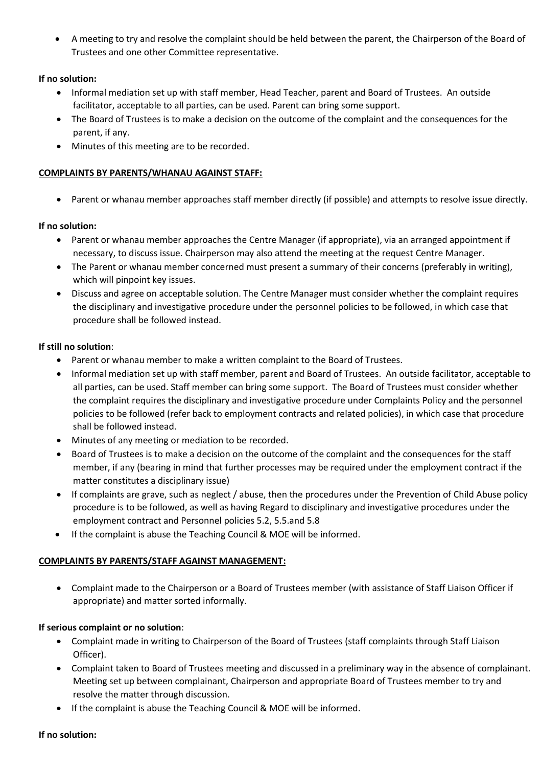• A meeting to try and resolve the complaint should be held between the parent, the Chairperson of the Board of Trustees and one other Committee representative.

## **If no solution:**

- Informal mediation set up with staff member, Head Teacher, parent and Board of Trustees. An outside facilitator, acceptable to all parties, can be used. Parent can bring some support.
- The Board of Trustees is to make a decision on the outcome of the complaint and the consequences for the parent, if any.
- Minutes of this meeting are to be recorded.

### **COMPLAINTS BY PARENTS/WHANAU AGAINST STAFF:**

• Parent or whanau member approaches staff member directly (if possible) and attempts to resolve issue directly.

### **If no solution:**

- Parent or whanau member approaches the Centre Manager (if appropriate), via an arranged appointment if necessary, to discuss issue. Chairperson may also attend the meeting at the request Centre Manager.
- The Parent or whanau member concerned must present a summary of their concerns (preferably in writing), which will pinpoint key issues.
- Discuss and agree on acceptable solution. The Centre Manager must consider whether the complaint requires the disciplinary and investigative procedure under the personnel policies to be followed, in which case that procedure shall be followed instead.

### **If still no solution**:

- Parent or whanau member to make a written complaint to the Board of Trustees.
- Informal mediation set up with staff member, parent and Board of Trustees. An outside facilitator, acceptable to all parties, can be used. Staff member can bring some support. The Board of Trustees must consider whether the complaint requires the disciplinary and investigative procedure under Complaints Policy and the personnel policies to be followed (refer back to employment contracts and related policies), in which case that procedure shall be followed instead.
- Minutes of any meeting or mediation to be recorded.
- Board of Trustees is to make a decision on the outcome of the complaint and the consequences for the staff member, if any (bearing in mind that further processes may be required under the employment contract if the matter constitutes a disciplinary issue)
- If complaints are grave, such as neglect / abuse, then the procedures under the Prevention of Child Abuse policy procedure is to be followed, as well as having Regard to disciplinary and investigative procedures under the employment contract and Personnel policies 5.2, 5.5.and 5.8
- If the complaint is abuse the Teaching Council & MOE will be informed.

### **COMPLAINTS BY PARENTS/STAFF AGAINST MANAGEMENT:**

• Complaint made to the Chairperson or a Board of Trustees member (with assistance of Staff Liaison Officer if appropriate) and matter sorted informally.

### **If serious complaint or no solution**:

- Complaint made in writing to Chairperson of the Board of Trustees (staff complaints through Staff Liaison Officer).
- Complaint taken to Board of Trustees meeting and discussed in a preliminary way in the absence of complainant. Meeting set up between complainant, Chairperson and appropriate Board of Trustees member to try and resolve the matter through discussion.
- If the complaint is abuse the Teaching Council & MOE will be informed.

#### **If no solution:**